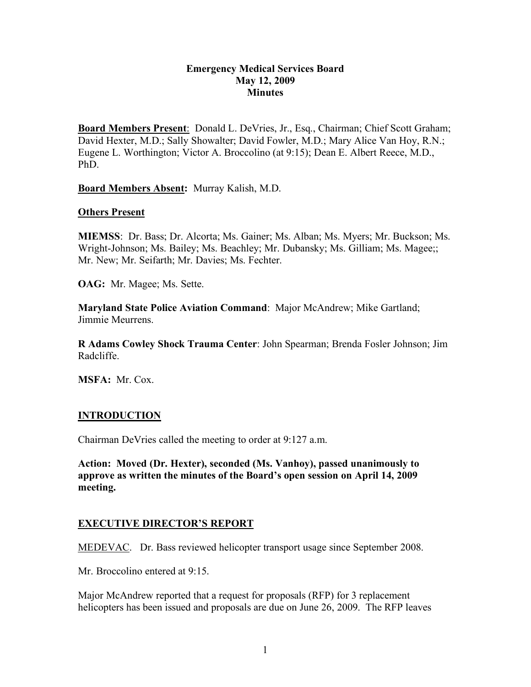### **Emergency Medical Services Board May 12, 2009 Minutes**

**Board Members Present**: Donald L. DeVries, Jr., Esq., Chairman; Chief Scott Graham; David Hexter, M.D.; Sally Showalter; David Fowler, M.D.; Mary Alice Van Hoy, R.N.; Eugene L. Worthington; Victor A. Broccolino (at 9:15); Dean E. Albert Reece, M.D., PhD.

**Board Members Absent:** Murray Kalish, M.D.

### **Others Present**

**MIEMSS**: Dr. Bass; Dr. Alcorta; Ms. Gainer; Ms. Alban; Ms. Myers; Mr. Buckson; Ms. Wright-Johnson; Ms. Bailey; Ms. Beachley; Mr. Dubansky; Ms. Gilliam; Ms. Magee;; Mr. New; Mr. Seifarth; Mr. Davies; Ms. Fechter.

**OAG:** Mr. Magee; Ms. Sette.

**Maryland State Police Aviation Command**: Major McAndrew; Mike Gartland; Jimmie Meurrens.

**R Adams Cowley Shock Trauma Center**: John Spearman; Brenda Fosler Johnson; Jim Radcliffe.

**MSFA:** Mr. Cox.

## **INTRODUCTION**

Chairman DeVries called the meeting to order at 9:127 a.m.

**Action: Moved (Dr. Hexter), seconded (Ms. Vanhoy), passed unanimously to approve as written the minutes of the Board's open session on April 14, 2009 meeting.**

## **EXECUTIVE DIRECTOR'S REPORT**

MEDEVAC. Dr. Bass reviewed helicopter transport usage since September 2008.

Mr. Broccolino entered at 9:15.

Major McAndrew reported that a request for proposals (RFP) for 3 replacement helicopters has been issued and proposals are due on June 26, 2009. The RFP leaves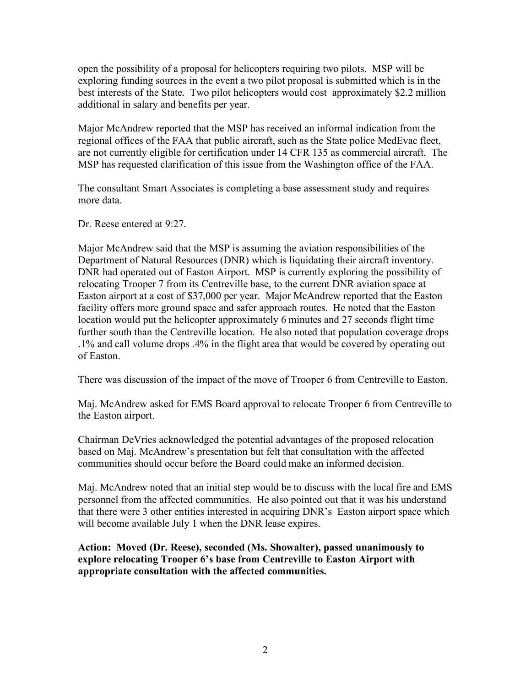open the possibility of a proposal for helicopters requiring two pilots. MSP will be exploring funding sources in the event a two pilot proposal is submitted which is in the best interests of the State. Two pilot helicopters would cost approximately \$2.2 million additional in salary and benefits per year.

Major McAndrew reported that the MSP has received an informal indication from the regional offices of the FAA that public aircraft, such as the State police MedEvac fleet, are not currently eligible for certification under 14 CFR 135 as commercial aircraft. The MSP has requested clarification of this issue from the Washington office of the FAA.

The consultant Smart Associates is completing a base assessment study and requires more data.

Dr. Reese entered at 9:27.

Major McAndrew said that the MSP is assuming the aviation responsibilities of the Department of Natural Resources (DNR) which is liquidating their aircraft inventory. DNR had operated out of Easton Airport. MSP is currently exploring the possibility of relocating Trooper 7 from its Centreville base, to the current DNR aviation space at Easton airport at a cost of \$37,000 per year. Major McAndrew reported that the Easton facility offers more ground space and safer approach routes. He noted that the Easton location would put the helicopter approximately 6 minutes and 27 seconds flight time further south than the Centreville location. He also noted that population coverage drops .1% and call volume drops .4% in the flight area that would be covered by operating out of Easton.

There was discussion of the impact of the move of Trooper 6 from Centreville to Easton.

Maj. McAndrew asked for EMS Board approval to relocate Trooper 6 from Centreville to the Easton airport.

Chairman DeVries acknowledged the potential advantages of the proposed relocation based on Maj. McAndrew's presentation but felt that consultation with the affected communities should occur before the Board could make an informed decision.

Maj. McAndrew noted that an initial step would be to discuss with the local fire and EMS personnel from the affected communities. He also pointed out that it was his understand that there were 3 other entities interested in acquiring DNR's Easton airport space which will become available July 1 when the DNR lease expires.

**Action: Moved (Dr. Reese), seconded (Ms. Showalter), passed unanimously to explore relocating Trooper 6's base from Centreville to Easton Airport with appropriate consultation with the affected communities.**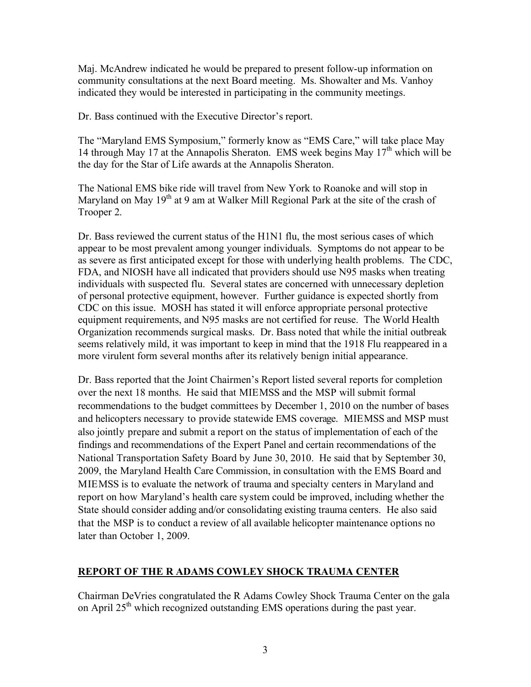Maj. McAndrew indicated he would be prepared to present follow-up information on community consultations at the next Board meeting. Ms. Showalter and Ms. Vanhoy indicated they would be interested in participating in the community meetings.

Dr. Bass continued with the Executive Director's report.

The "Maryland EMS Symposium," formerly know as "EMS Care," will take place May 14 through May 17 at the Annapolis Sheraton. EMS week begins May  $17<sup>th</sup>$  which will be the day for the Star of Life awards at the Annapolis Sheraton.

The National EMS bike ride will travel from New York to Roanoke and will stop in Maryland on May 19<sup>th</sup> at 9 am at Walker Mill Regional Park at the site of the crash of Trooper 2.

Dr. Bass reviewed the current status of the H1N1 flu, the most serious cases of which appear to be most prevalent among younger individuals. Symptoms do not appear to be as severe as first anticipated except for those with underlying health problems. The CDC, FDA, and NIOSH have all indicated that providers should use N95 masks when treating individuals with suspected flu. Several states are concerned with unnecessary depletion of personal protective equipment, however. Further guidance is expected shortly from CDC on this issue. MOSH has stated it will enforce appropriate personal protective equipment requirements, and N95 masks are not certified for reuse. The World Health Organization recommends surgical masks. Dr. Bass noted that while the initial outbreak seems relatively mild, it was important to keep in mind that the 1918 Flu reappeared in a more virulent form several months after its relatively benign initial appearance.

Dr. Bass reported that the Joint Chairmen's Report listed several reports for completion over the next 18 months. He said that MIEMSS and the MSP will submit formal recommendations to the budget committees by December 1, 2010 on the number of bases and helicopters necessary to provide statewide EMS coverage. MIEMSS and MSP must also jointly prepare and submit a report on the status of implementation of each of the findings and recommendations of the Expert Panel and certain recommendations of the National Transportation Safety Board by June 30, 2010. He said that by September 30, 2009, the Maryland Health Care Commission, in consultation with the EMS Board and MIEMSS is to evaluate the network of trauma and specialty centers in Maryland and report on how Maryland's health care system could be improved, including whether the State should consider adding and/or consolidating existing trauma centers. He also said that the MSP is to conduct a review of all available helicopter maintenance options no later than October 1, 2009.

# **REPORT OF THE R ADAMS COWLEY SHOCK TRAUMA CENTER**

Chairman DeVries congratulated the R Adams Cowley Shock Trauma Center on the gala on April  $25<sup>th</sup>$  which recognized outstanding EMS operations during the past year.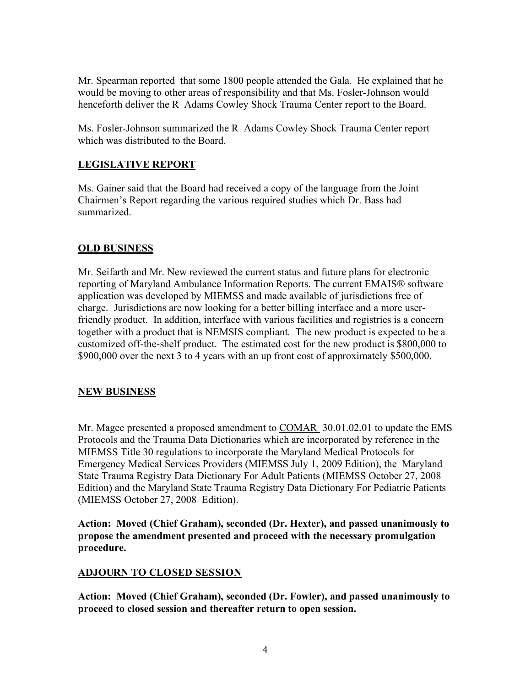Mr. Spearman reported that some 1800 people attended the Gala. He explained that he would be moving to other areas of responsibility and that Ms. Fosler-Johnson would henceforth deliver the R Adams Cowley Shock Trauma Center report to the Board.

Ms. Fosler-Johnson summarized the R Adams Cowley Shock Trauma Center report which was distributed to the Board.

# **LEGISLATIVE REPORT**

Ms. Gainer said that the Board had received a copy of the language from the Joint Chairmen's Report regarding the various required studies which Dr. Bass had summarized.

# **OLD BUSINESS**

Mr. Seifarth and Mr. New reviewed the current status and future plans for electronic reporting of Maryland Ambulance Information Reports. The current EMAIS® software application was developed by MIEMSS and made available of jurisdictions free of charge. Jurisdictions are now looking for a better billing interface and a more userfriendly product. In addition, interface with various facilities and registries is a concern together with a product that is NEMSIS compliant. The new product is expected to be a customized off-the-shelf product. The estimated cost for the new product is \$800,000 to \$900,000 over the next 3 to 4 years with an up front cost of approximately \$500,000.

# **NEW BUSINESS**

Mr. Magee presented a proposed amendment to COMAR 30.01.02.01 to update the EMS Protocols and the Trauma Data Dictionaries which are incorporated by reference in the MIEMSS Title 30 regulations to incorporate the Maryland Medical Protocols for Emergency Medical Services Providers (MIEMSS July 1, 2009 Edition), the Maryland State Trauma Registry Data Dictionary For Adult Patients (MIEMSS October 27, 2008 Edition) and the Maryland State Trauma Registry Data Dictionary For Pediatric Patients (MIEMSS October 27, 2008 Edition).

**Action: Moved (Chief Graham), seconded (Dr. Hexter), and passed unanimously to propose the amendment presented and proceed with the necessary promulgation procedure.**

# **ADJOURN TO CLOSED SESSION**

**Action: Moved (Chief Graham), seconded (Dr. Fowler), and passed unanimously to proceed to closed session and thereafter return to open session.**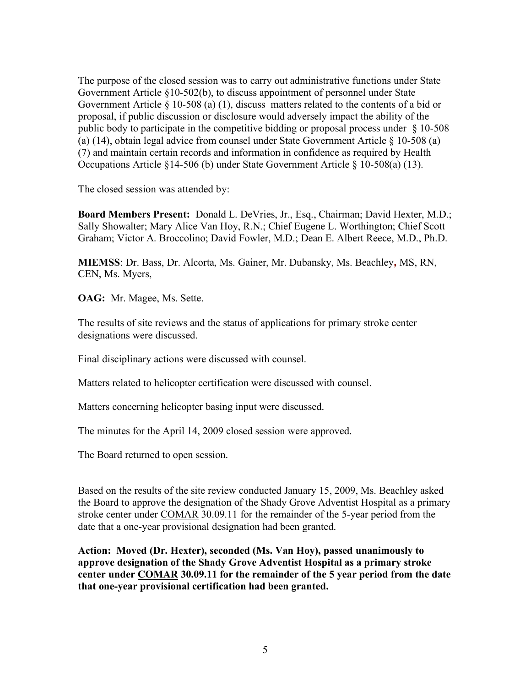The purpose of the closed session was to carry out administrative functions under State Government Article §10-502(b), to discuss appointment of personnel under State Government Article § 10-508 (a) (1), discuss matters related to the contents of a bid or proposal, if public discussion or disclosure would adversely impact the ability of the public body to participate in the competitive bidding or proposal process under § 10-508 (a) (14), obtain legal advice from counsel under State Government Article § 10-508 (a) (7) and maintain certain records and information in confidence as required by Health Occupations Article §14-506 (b) under State Government Article § 10-508(a) (13).

The closed session was attended by:

**Board Members Present:** Donald L. DeVries, Jr., Esq., Chairman; David Hexter, M.D.; Sally Showalter; Mary Alice Van Hoy, R.N.; Chief Eugene L. Worthington; Chief Scott Graham; Victor A. Broccolino; David Fowler, M.D.; Dean E. Albert Reece, M.D., Ph.D.

**MIEMSS**: Dr. Bass, Dr. Alcorta, Ms. Gainer, Mr. Dubansky, Ms. Beachley*,* MS, RN, CEN, Ms. Myers,

**OAG:** Mr. Magee, Ms. Sette.

The results of site reviews and the status of applications for primary stroke center designations were discussed.

Final disciplinary actions were discussed with counsel.

Matters related to helicopter certification were discussed with counsel.

Matters concerning helicopter basing input were discussed.

The minutes for the April 14, 2009 closed session were approved.

The Board returned to open session.

Based on the results of the site review conducted January 15, 2009, Ms. Beachley asked the Board to approve the designation of the Shady Grove Adventist Hospital as a primary stroke center under COMAR 30.09.11 for the remainder of the 5-year period from the date that a one-year provisional designation had been granted.

**Action: Moved (Dr. Hexter), seconded (Ms. Van Hoy), passed unanimously to approve designation of the Shady Grove Adventist Hospital as a primary stroke center under COMAR 30.09.11 for the remainder of the 5 year period from the date that one-year provisional certification had been granted.**